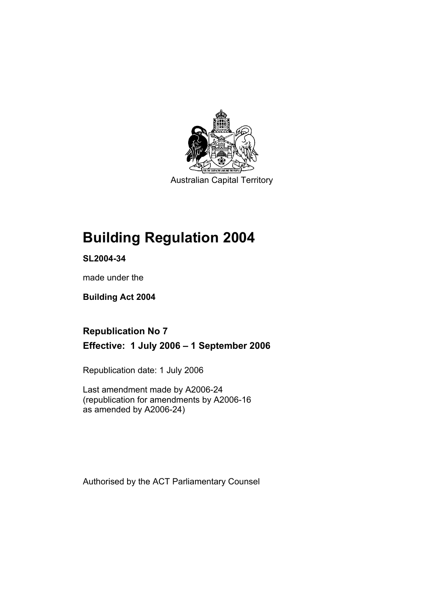

Australian Capital Territory

# **Building Regulation 2004**

**SL2004-34** 

made under the

**Building Act 2004** 

## **Republication No 7 Effective: 1 July 2006 – 1 September 2006**

Republication date: 1 July 2006

Last amendment made by A2006-24 (republication for amendments by A2006-16 as amended by A2006-24)

Authorised by the ACT Parliamentary Counsel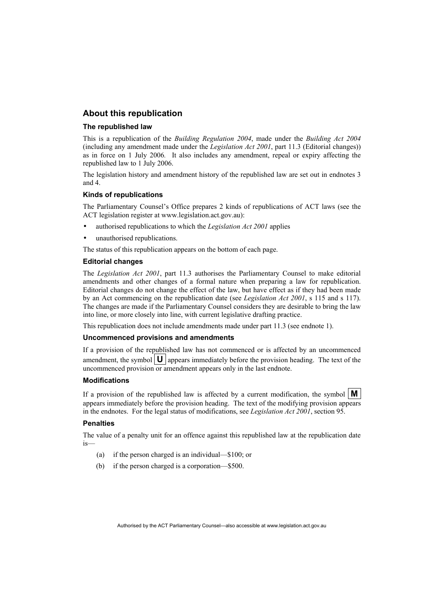## **About this republication**

#### **The republished law**

This is a republication of the *Building Regulation 2004*, made under the *Building Act 2004* (including any amendment made under the *Legislation Act 2001*, part 11.3 (Editorial changes)) as in force on 1 July 2006*.* It also includes any amendment, repeal or expiry affecting the republished law to 1 July 2006.

The legislation history and amendment history of the republished law are set out in endnotes 3 and 4.

#### **Kinds of republications**

The Parliamentary Counsel's Office prepares 2 kinds of republications of ACT laws (see the ACT legislation register at www.legislation.act.gov.au):

- authorised republications to which the *Legislation Act 2001* applies
- unauthorised republications.

The status of this republication appears on the bottom of each page.

#### **Editorial changes**

The *Legislation Act 2001*, part 11.3 authorises the Parliamentary Counsel to make editorial amendments and other changes of a formal nature when preparing a law for republication. Editorial changes do not change the effect of the law, but have effect as if they had been made by an Act commencing on the republication date (see *Legislation Act 2001*, s 115 and s 117). The changes are made if the Parliamentary Counsel considers they are desirable to bring the law into line, or more closely into line, with current legislative drafting practice.

This republication does not include amendments made under part 11.3 (see endnote 1).

#### **Uncommenced provisions and amendments**

If a provision of the republished law has not commenced or is affected by an uncommenced amendment, the symbol  $\mathbf{U}$  appears immediately before the provision heading. The text of the uncommenced provision or amendment appears only in the last endnote.

#### **Modifications**

If a provision of the republished law is affected by a current modification, the symbol  $\mathbf{M}$ appears immediately before the provision heading. The text of the modifying provision appears in the endnotes. For the legal status of modifications, see *Legislation Act 2001*, section 95.

#### **Penalties**

The value of a penalty unit for an offence against this republished law at the republication date is—

- (a) if the person charged is an individual—\$100; or
- (b) if the person charged is a corporation—\$500.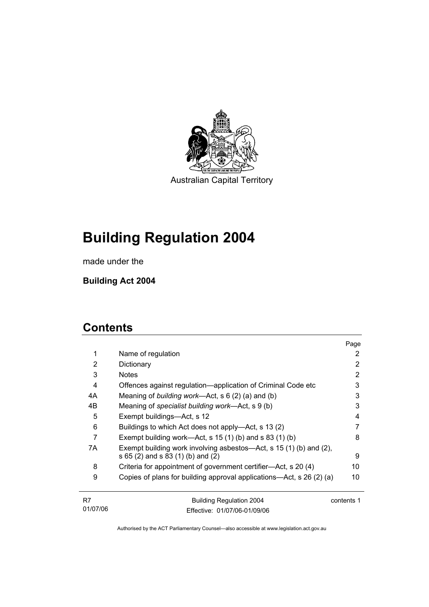

Australian Capital Territory

# **Building Regulation 2004**

made under the

**Building Act 2004** 

## **Contents**

|    |                                                                      | Page       |
|----|----------------------------------------------------------------------|------------|
| 1  | Name of regulation                                                   | 2          |
| 2  | Dictionary                                                           | 2          |
| 3  | <b>Notes</b>                                                         | 2          |
| 4  | Offences against regulation—application of Criminal Code etc         | 3          |
| 4A | Meaning of <i>building work</i> —Act, $s \ 6 \ (2) \ (a)$ and (b)    | 3          |
| 4B | Meaning of specialist building work—Act, s 9 (b)                     | 3          |
| 5  | Exempt buildings-Act, s 12                                           | 4          |
| 6  | Buildings to which Act does not apply—Act, s 13 (2)                  |            |
| 7  | Exempt building work—Act, s $15(1)$ (b) and s $83(1)$ (b)            | 8          |
| 7A | Exempt building work involving asbestos—Act, s 15 (1) (b) and (2),   |            |
|    | s 65 (2) and s 83 (1) (b) and (2)                                    | 9          |
| 8  | Criteria for appointment of government certifier-Act, s 20 (4)       | 10         |
| 9  | Copies of plans for building approval applications—Act, s 26 (2) (a) | 10         |
| R7 | <b>Building Regulation 2004</b>                                      | contents 1 |

| 01/07/06 | Effective: 01/07/06-01/09/06 |  |
|----------|------------------------------|--|
|          |                              |  |
|          |                              |  |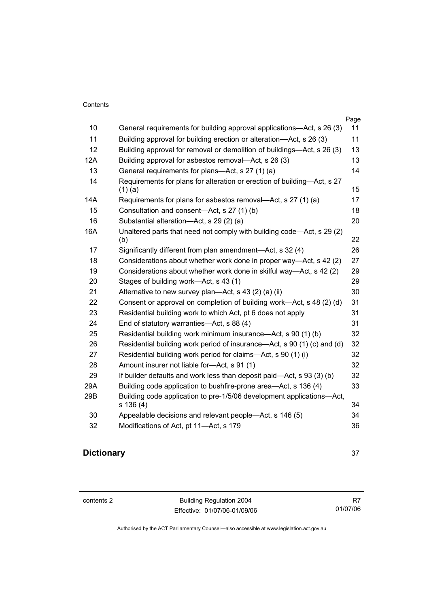| 10  | General requirements for building approval applications—Act, s 26 (3)                | Page<br>11 |
|-----|--------------------------------------------------------------------------------------|------------|
| 11  |                                                                                      | 11         |
|     | Building approval for building erection or alteration—Act, s 26 (3)                  |            |
| 12  | Building approval for removal or demolition of buildings—Act, s 26 (3)               | 13         |
| 12A | Building approval for asbestos removal—Act, s 26 (3)                                 | 13         |
| 13  | General requirements for plans—Act, s 27 (1) (a)                                     | 14         |
| 14  | Requirements for plans for alteration or erection of building—Act, s 27<br>$(1)$ (a) | 15         |
| 14A | Requirements for plans for asbestos removal—Act, s 27 (1) (a)                        | 17         |
| 15  | Consultation and consent-Act, s 27 (1) (b)                                           | 18         |
| 16  | Substantial alteration-Act, s 29 (2) (a)                                             | 20         |
| 16A | Unaltered parts that need not comply with building code—Act, s 29 (2)                | 22         |
| 17  | (b)                                                                                  |            |
| 18  | Significantly different from plan amendment—Act, s 32 (4)                            | 26<br>27   |
|     | Considerations about whether work done in proper way—Act, s 42 (2)                   |            |
| 19  | Considerations about whether work done in skilful way—Act, s 42 (2)                  | 29         |
| 20  | Stages of building work—Act, s 43 (1)                                                | 29         |
| 21  | Alternative to new survey plan—Act, s 43 (2) (a) (ii)                                | 30         |
| 22  | Consent or approval on completion of building work—Act, s 48 (2) (d)                 | 31         |
| 23  | Residential building work to which Act, pt 6 does not apply                          | 31         |
| 24  | End of statutory warranties-Act, s 88 (4)                                            | 31         |
| 25  | Residential building work minimum insurance—Act, s 90 (1) (b)                        | 32         |
| 26  | Residential building work period of insurance—Act, s 90 (1) (c) and (d)              | 32         |
| 27  | Residential building work period for claims—Act, s 90 (1) (i)                        | 32         |
| 28  | Amount insurer not liable for-Act, s 91 (1)                                          | 32         |
| 29  | If builder defaults and work less than deposit paid—Act, s 93 (3) (b)                | 32         |
| 29A | Building code application to bushfire-prone area-Act, s 136 (4)                      | 33         |
| 29B | Building code application to pre-1/5/06 development applications-Act,<br>s 136(4)    | 34         |
| 30  | Appealable decisions and relevant people—Act, s 146 (5)                              | 34         |
| 32  | Modifications of Act, pt 11-Act, s 179                                               | 36         |

## **Dictionary** 37

contents 2 Building Regulation 2004 Effective: 01/07/06-01/09/06

R7 01/07/06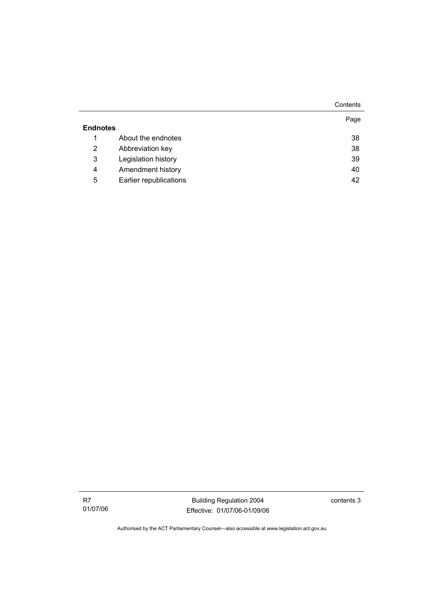|                 |                        | Contents |
|-----------------|------------------------|----------|
| <b>Endnotes</b> |                        | Page     |
| 1               | About the endnotes     | 38       |
| 2               | Abbreviation key       | 38       |
| 3               | Legislation history    | 39       |
| 4               | Amendment history      | 40       |
| 5               | Earlier republications | 42       |

Building Regulation 2004 Effective: 01/07/06-01/09/06 contents 3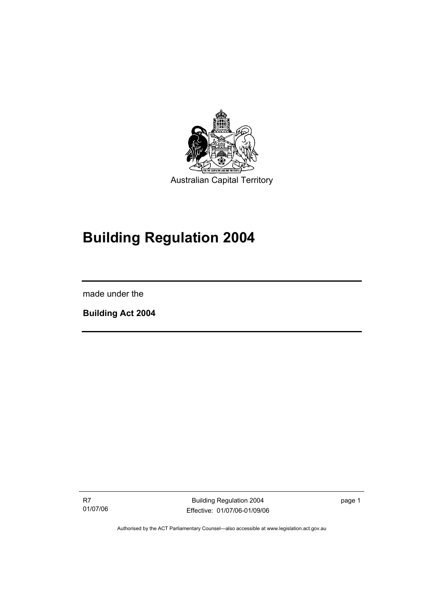

# **Building Regulation 2004**

made under the

I

**Building Act 2004** 

R7 01/07/06

Building Regulation 2004 Effective: 01/07/06-01/09/06 page 1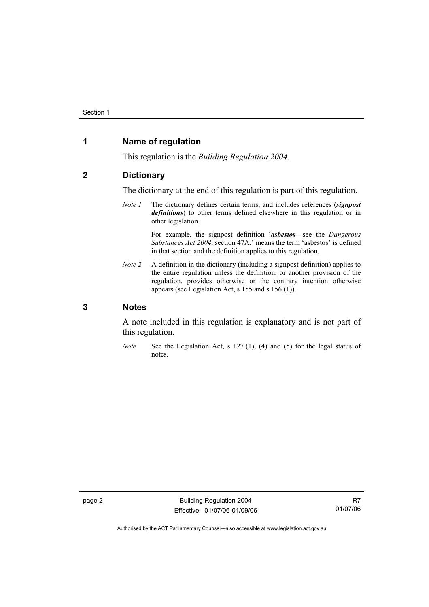## **1 Name of regulation**

This regulation is the *Building Regulation 2004*.

## **2 Dictionary**

The dictionary at the end of this regulation is part of this regulation.

*Note 1* The dictionary defines certain terms, and includes references (*signpost definitions*) to other terms defined elsewhere in this regulation or in other legislation.

> For example, the signpost definition '*asbestos*—see the *Dangerous Substances Act 2004*, section 47A.' means the term 'asbestos' is defined in that section and the definition applies to this regulation.

*Note 2* A definition in the dictionary (including a signpost definition) applies to the entire regulation unless the definition, or another provision of the regulation, provides otherwise or the contrary intention otherwise appears (see Legislation Act, s 155 and s 156 (1)).

## **3 Notes**

A note included in this regulation is explanatory and is not part of this regulation.

*Note* See the Legislation Act, s 127 (1), (4) and (5) for the legal status of notes.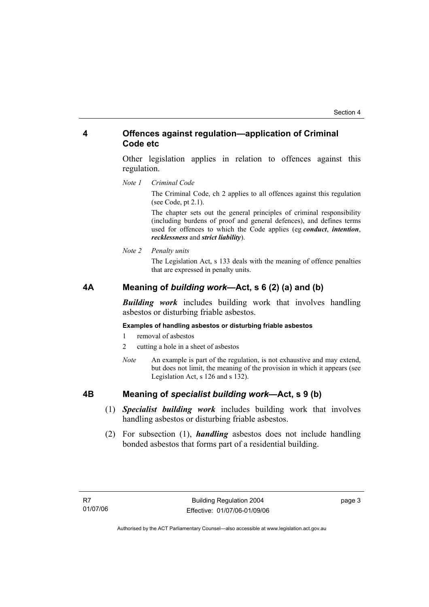## **4 Offences against regulation—application of Criminal Code etc**

Other legislation applies in relation to offences against this regulation.

*Note 1 Criminal Code*

The Criminal Code, ch 2 applies to all offences against this regulation (see Code, pt 2.1).

The chapter sets out the general principles of criminal responsibility (including burdens of proof and general defences), and defines terms used for offences to which the Code applies (eg *conduct*, *intention*, *recklessness* and *strict liability*).

*Note 2 Penalty units* 

The Legislation Act, s 133 deals with the meaning of offence penalties that are expressed in penalty units.

## **4A Meaning of** *building work***—Act, s 6 (2) (a) and (b)**

*Building work* includes building work that involves handling asbestos or disturbing friable asbestos.

### **Examples of handling asbestos or disturbing friable asbestos**

- 1 removal of asbestos
- 2 cutting a hole in a sheet of asbestos
- *Note* An example is part of the regulation, is not exhaustive and may extend, but does not limit, the meaning of the provision in which it appears (see Legislation Act, s 126 and s 132).

## **4B Meaning of** *specialist building work***—Act, s 9 (b)**

- (1) *Specialist building work* includes building work that involves handling asbestos or disturbing friable asbestos.
- (2) For subsection (1), *handling* asbestos does not include handling bonded asbestos that forms part of a residential building.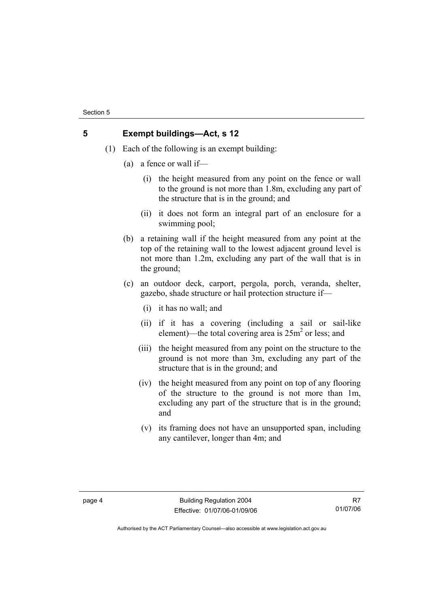## **5 Exempt buildings—Act, s 12**

- (1) Each of the following is an exempt building:
	- (a) a fence or wall if—
		- (i) the height measured from any point on the fence or wall to the ground is not more than 1.8m, excluding any part of the structure that is in the ground; and
		- (ii) it does not form an integral part of an enclosure for a swimming pool;
	- (b) a retaining wall if the height measured from any point at the top of the retaining wall to the lowest adjacent ground level is not more than 1.2m, excluding any part of the wall that is in the ground;
	- (c) an outdoor deck, carport, pergola, porch, veranda, shelter, gazebo, shade structure or hail protection structure if—
		- (i) it has no wall; and
		- (ii) if it has a covering (including a sail or sail-like element)—the total covering area is  $25m^2$  or less; and
		- (iii) the height measured from any point on the structure to the ground is not more than 3m, excluding any part of the structure that is in the ground; and
		- (iv) the height measured from any point on top of any flooring of the structure to the ground is not more than 1m, excluding any part of the structure that is in the ground; and
		- (v) its framing does not have an unsupported span, including any cantilever, longer than 4m; and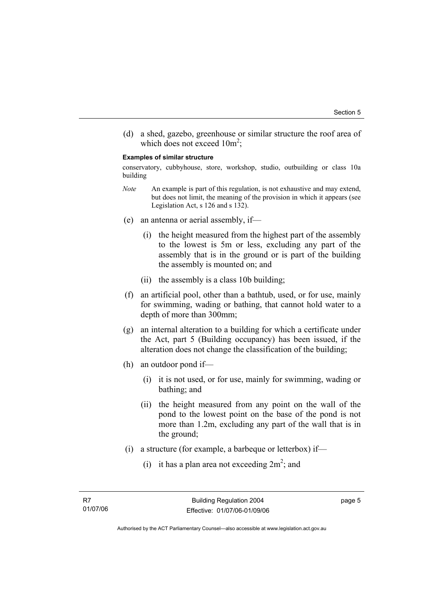(d) a shed, gazebo, greenhouse or similar structure the roof area of which does not exceed  $10m^2$ ;

#### **Examples of similar structure**

conservatory, cubbyhouse, store, workshop, studio, outbuilding or class 10a building

- *Note* An example is part of this regulation, is not exhaustive and may extend, but does not limit, the meaning of the provision in which it appears (see Legislation Act, s 126 and s 132).
- (e) an antenna or aerial assembly, if—
	- (i) the height measured from the highest part of the assembly to the lowest is 5m or less, excluding any part of the assembly that is in the ground or is part of the building the assembly is mounted on; and
	- (ii) the assembly is a class 10b building;
- (f) an artificial pool, other than a bathtub, used, or for use, mainly for swimming, wading or bathing, that cannot hold water to a depth of more than 300mm;
- (g) an internal alteration to a building for which a certificate under the Act, part 5 (Building occupancy) has been issued, if the alteration does not change the classification of the building;
- (h) an outdoor pond if—
	- (i) it is not used, or for use, mainly for swimming, wading or bathing; and
	- (ii) the height measured from any point on the wall of the pond to the lowest point on the base of the pond is not more than 1.2m, excluding any part of the wall that is in the ground;
- (i) a structure (for example, a barbeque or letterbox) if—
- (i) it has a plan area not exceeding  $2m^2$ ; and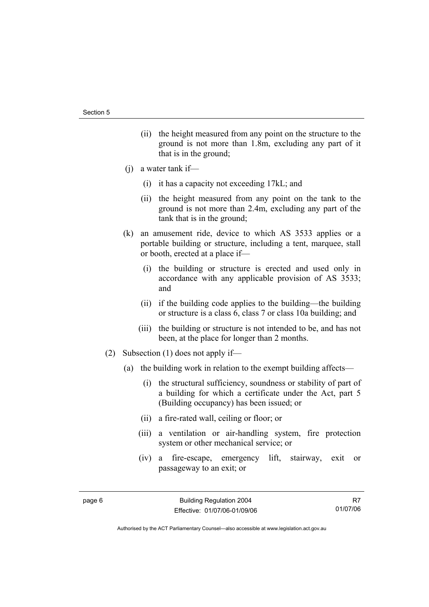- (ii) the height measured from any point on the structure to the ground is not more than 1.8m, excluding any part of it that is in the ground;
- (j) a water tank if—
	- (i) it has a capacity not exceeding 17kL; and
	- (ii) the height measured from any point on the tank to the ground is not more than 2.4m, excluding any part of the tank that is in the ground;
- (k) an amusement ride, device to which AS 3533 applies or a portable building or structure, including a tent, marquee, stall or booth, erected at a place if—
	- (i) the building or structure is erected and used only in accordance with any applicable provision of AS 3533; and
	- (ii) if the building code applies to the building—the building or structure is a class 6, class 7 or class 10a building; and
	- (iii) the building or structure is not intended to be, and has not been, at the place for longer than 2 months.
- (2) Subsection (1) does not apply if—
	- (a) the building work in relation to the exempt building affects—
		- (i) the structural sufficiency, soundness or stability of part of a building for which a certificate under the Act, part 5 (Building occupancy) has been issued; or
		- (ii) a fire-rated wall, ceiling or floor; or
		- (iii) a ventilation or air-handling system, fire protection system or other mechanical service; or
		- (iv) a fire-escape, emergency lift, stairway, exit or passageway to an exit; or

R7 01/07/06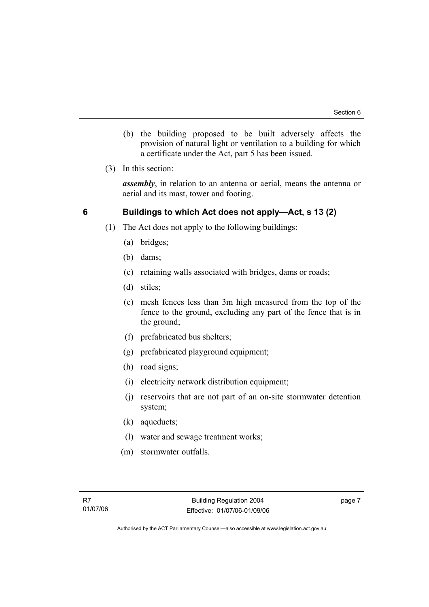- (b) the building proposed to be built adversely affects the provision of natural light or ventilation to a building for which a certificate under the Act, part 5 has been issued.
- (3) In this section:

*assembly*, in relation to an antenna or aerial, means the antenna or aerial and its mast, tower and footing.

## **6 Buildings to which Act does not apply—Act, s 13 (2)**

- (1) The Act does not apply to the following buildings:
	- (a) bridges;
	- (b) dams;
	- (c) retaining walls associated with bridges, dams or roads;
	- (d) stiles;
	- (e) mesh fences less than 3m high measured from the top of the fence to the ground, excluding any part of the fence that is in the ground;
	- (f) prefabricated bus shelters;
	- (g) prefabricated playground equipment;
	- (h) road signs;
	- (i) electricity network distribution equipment;
	- (j) reservoirs that are not part of an on-site stormwater detention system;
	- (k) aqueducts;
	- (l) water and sewage treatment works;
	- (m) stormwater outfalls.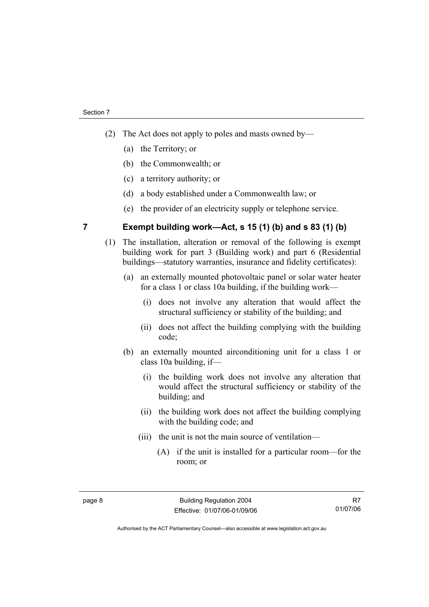- (2) The Act does not apply to poles and masts owned by—
	- (a) the Territory; or
	- (b) the Commonwealth; or
	- (c) a territory authority; or
	- (d) a body established under a Commonwealth law; or
	- (e) the provider of an electricity supply or telephone service.

**7 Exempt building work—Act, s 15 (1) (b) and s 83 (1) (b)** 

- (1) The installation, alteration or removal of the following is exempt building work for part 3 (Building work) and part 6 (Residential buildings—statutory warranties, insurance and fidelity certificates):
	- (a) an externally mounted photovoltaic panel or solar water heater for a class 1 or class 10a building, if the building work—
		- (i) does not involve any alteration that would affect the structural sufficiency or stability of the building; and
		- (ii) does not affect the building complying with the building code;
	- (b) an externally mounted airconditioning unit for a class 1 or class 10a building, if—
		- (i) the building work does not involve any alteration that would affect the structural sufficiency or stability of the building; and
		- (ii) the building work does not affect the building complying with the building code; and
		- (iii) the unit is not the main source of ventilation—
			- (A) if the unit is installed for a particular room—for the room; or

R7 01/07/06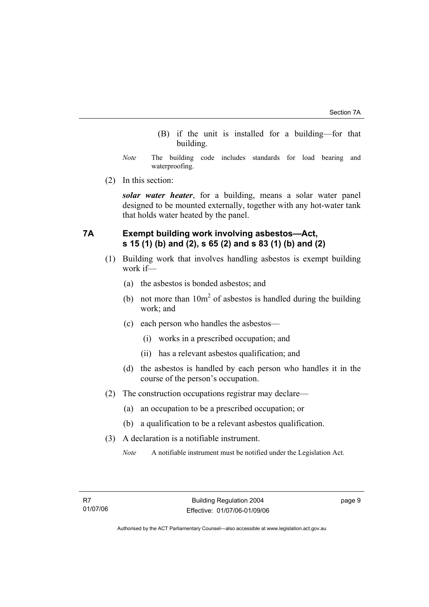- (B) if the unit is installed for a building—for that building.
- *Note* The building code includes standards for load bearing and waterproofing.
- (2) In this section:

*solar water heater*, for a building, means a solar water panel designed to be mounted externally, together with any hot-water tank that holds water heated by the panel.

## **7A Exempt building work involving asbestos—Act, s 15 (1) (b) and (2), s 65 (2) and s 83 (1) (b) and (2)**

- (1) Building work that involves handling asbestos is exempt building work if—
	- (a) the asbestos is bonded asbestos; and
- (b) not more than  $10m^2$  of asbestos is handled during the building work; and
	- (c) each person who handles the asbestos—
		- (i) works in a prescribed occupation; and
		- (ii) has a relevant asbestos qualification; and
	- (d) the asbestos is handled by each person who handles it in the course of the person's occupation.
	- (2) The construction occupations registrar may declare—
		- (a) an occupation to be a prescribed occupation; or
		- (b) a qualification to be a relevant asbestos qualification.
	- (3) A declaration is a notifiable instrument.
		- *Note* A notifiable instrument must be notified under the Legislation Act.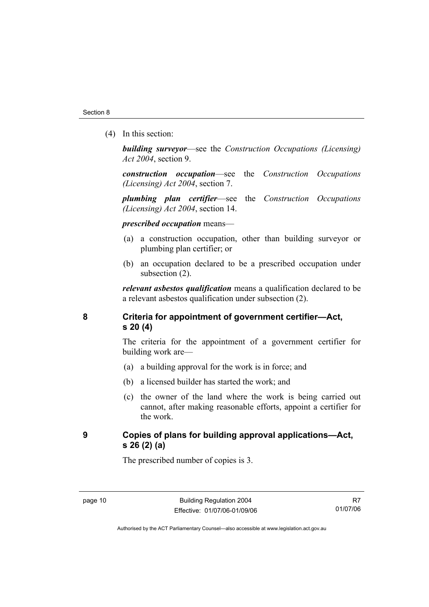(4) In this section:

*building surveyor*—see the *Construction Occupations (Licensing) Act 2004*, section 9.

*construction occupation*—see the *Construction Occupations (Licensing) Act 2004*, section 7.

*plumbing plan certifier*—see the *Construction Occupations (Licensing) Act 2004*, section 14.

*prescribed occupation* means—

- (a) a construction occupation, other than building surveyor or plumbing plan certifier; or
- (b) an occupation declared to be a prescribed occupation under subsection (2).

*relevant asbestos qualification* means a qualification declared to be a relevant asbestos qualification under subsection (2).

**8 Criteria for appointment of government certifier—Act, s 20 (4)** 

> The criteria for the appointment of a government certifier for building work are—

- (a) a building approval for the work is in force; and
- (b) a licensed builder has started the work; and
- (c) the owner of the land where the work is being carried out cannot, after making reasonable efforts, appoint a certifier for the work.

## **9 Copies of plans for building approval applications—Act, s 26 (2) (a)**

The prescribed number of copies is 3.

R7 01/07/06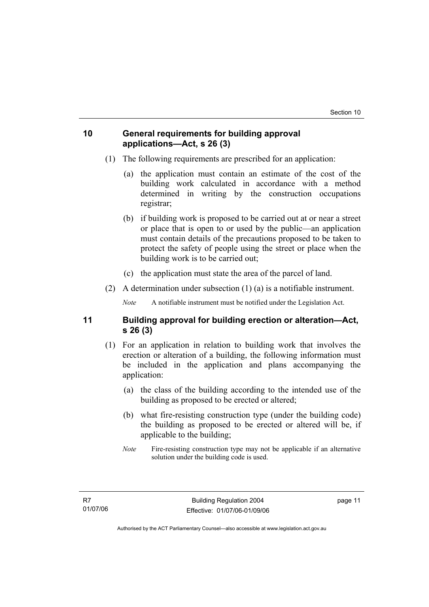## **10 General requirements for building approval applications—Act, s 26 (3)**

- (1) The following requirements are prescribed for an application:
	- (a) the application must contain an estimate of the cost of the building work calculated in accordance with a method determined in writing by the construction occupations registrar;
	- (b) if building work is proposed to be carried out at or near a street or place that is open to or used by the public—an application must contain details of the precautions proposed to be taken to protect the safety of people using the street or place when the building work is to be carried out;
	- (c) the application must state the area of the parcel of land.
- (2) A determination under subsection (1) (a) is a notifiable instrument.

*Note* A notifiable instrument must be notified under the Legislation Act.

## **11 Building approval for building erection or alteration—Act, s 26 (3)**

- (1) For an application in relation to building work that involves the erection or alteration of a building, the following information must be included in the application and plans accompanying the application:
	- (a) the class of the building according to the intended use of the building as proposed to be erected or altered;
	- (b) what fire-resisting construction type (under the building code) the building as proposed to be erected or altered will be, if applicable to the building;
	- *Note* Fire-resisting construction type may not be applicable if an alternative solution under the building code is used.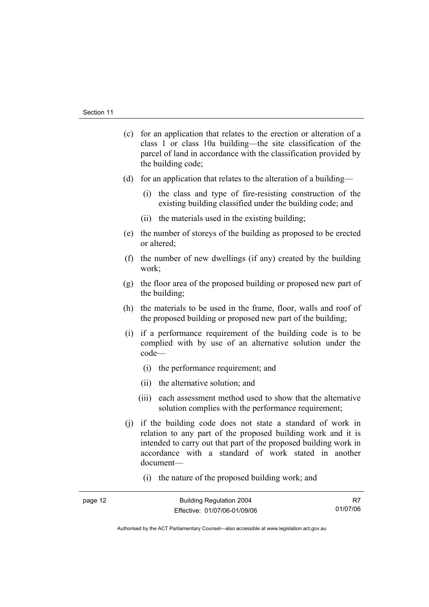- (c) for an application that relates to the erection or alteration of a class 1 or class 10a building—the site classification of the parcel of land in accordance with the classification provided by the building code;
- (d) for an application that relates to the alteration of a building—
	- (i) the class and type of fire-resisting construction of the existing building classified under the building code; and
	- (ii) the materials used in the existing building;
- (e) the number of storeys of the building as proposed to be erected or altered;
- (f) the number of new dwellings (if any) created by the building work;
- (g) the floor area of the proposed building or proposed new part of the building;
- (h) the materials to be used in the frame, floor, walls and roof of the proposed building or proposed new part of the building;
- (i) if a performance requirement of the building code is to be complied with by use of an alternative solution under the code—
	- (i) the performance requirement; and
	- (ii) the alternative solution; and
	- (iii) each assessment method used to show that the alternative solution complies with the performance requirement;
- (j) if the building code does not state a standard of work in relation to any part of the proposed building work and it is intended to carry out that part of the proposed building work in accordance with a standard of work stated in another document—
	- (i) the nature of the proposed building work; and

| יונו וגו<br>L |
|---------------|
|---------------|

R7 01/07/06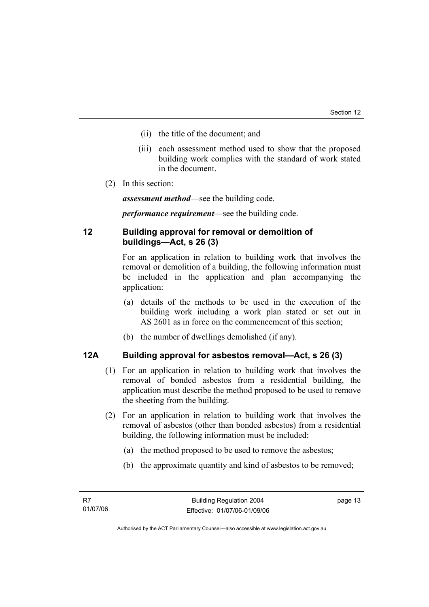- (ii) the title of the document; and
- (iii) each assessment method used to show that the proposed building work complies with the standard of work stated in the document.
- (2) In this section:

*assessment method*—see the building code.

*performance requirement*—see the building code.

## **12 Building approval for removal or demolition of buildings—Act, s 26 (3)**

For an application in relation to building work that involves the removal or demolition of a building, the following information must be included in the application and plan accompanying the application:

- (a) details of the methods to be used in the execution of the building work including a work plan stated or set out in AS 2601 as in force on the commencement of this section;
- (b) the number of dwellings demolished (if any).

## **12A Building approval for asbestos removal—Act, s 26 (3)**

- (1) For an application in relation to building work that involves the removal of bonded asbestos from a residential building, the application must describe the method proposed to be used to remove the sheeting from the building.
- (2) For an application in relation to building work that involves the removal of asbestos (other than bonded asbestos) from a residential building, the following information must be included:
	- (a) the method proposed to be used to remove the asbestos;
	- (b) the approximate quantity and kind of asbestos to be removed;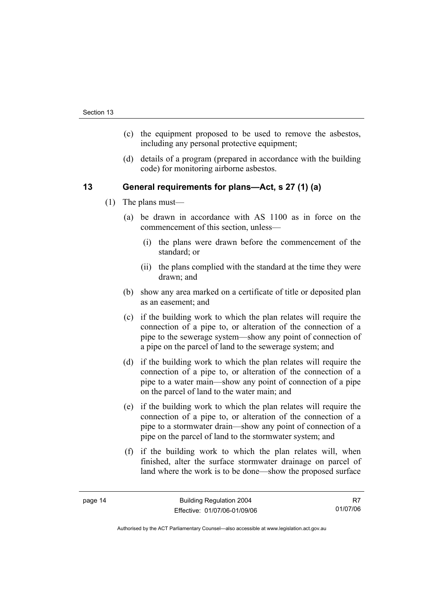- (c) the equipment proposed to be used to remove the asbestos, including any personal protective equipment;
- (d) details of a program (prepared in accordance with the building code) for monitoring airborne asbestos.

## **13 General requirements for plans—Act, s 27 (1) (a)**

- (1) The plans must—
	- (a) be drawn in accordance with AS 1100 as in force on the commencement of this section, unless—
		- (i) the plans were drawn before the commencement of the standard; or
		- (ii) the plans complied with the standard at the time they were drawn; and
	- (b) show any area marked on a certificate of title or deposited plan as an easement; and
	- (c) if the building work to which the plan relates will require the connection of a pipe to, or alteration of the connection of a pipe to the sewerage system—show any point of connection of a pipe on the parcel of land to the sewerage system; and
	- (d) if the building work to which the plan relates will require the connection of a pipe to, or alteration of the connection of a pipe to a water main—show any point of connection of a pipe on the parcel of land to the water main; and
	- (e) if the building work to which the plan relates will require the connection of a pipe to, or alteration of the connection of a pipe to a stormwater drain—show any point of connection of a pipe on the parcel of land to the stormwater system; and
	- (f) if the building work to which the plan relates will, when finished, alter the surface stormwater drainage on parcel of land where the work is to be done—show the proposed surface

R7 01/07/06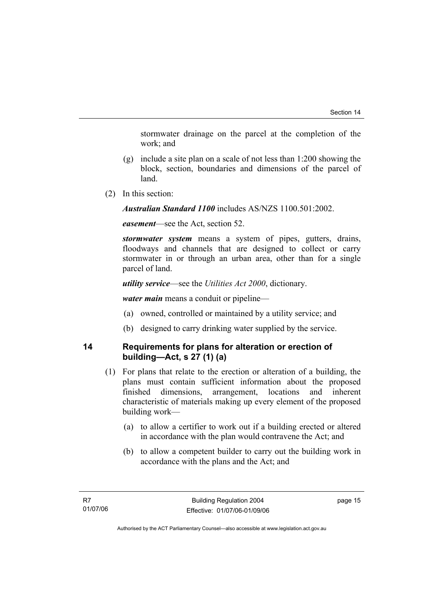stormwater drainage on the parcel at the completion of the work; and

- (g) include a site plan on a scale of not less than 1:200 showing the block, section, boundaries and dimensions of the parcel of land.
- (2) In this section:

*Australian Standard 1100* includes AS/NZS 1100.501:2002.

*easement*—see the Act, section 52.

*stormwater system* means a system of pipes, gutters, drains, floodways and channels that are designed to collect or carry stormwater in or through an urban area, other than for a single parcel of land.

*utility service*—see the *Utilities Act 2000*, dictionary.

*water main* means a conduit or pipeline—

- (a) owned, controlled or maintained by a utility service; and
- (b) designed to carry drinking water supplied by the service.

## **14 Requirements for plans for alteration or erection of building—Act, s 27 (1) (a)**

- (1) For plans that relate to the erection or alteration of a building, the plans must contain sufficient information about the proposed finished dimensions, arrangement, locations and inherent characteristic of materials making up every element of the proposed building work—
	- (a) to allow a certifier to work out if a building erected or altered in accordance with the plan would contravene the Act; and
	- (b) to allow a competent builder to carry out the building work in accordance with the plans and the Act; and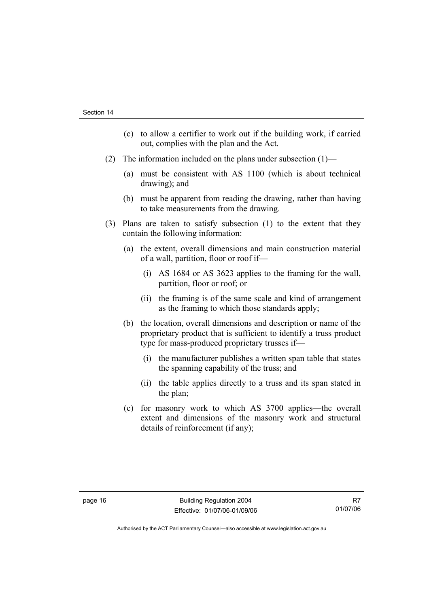- (c) to allow a certifier to work out if the building work, if carried out, complies with the plan and the Act.
- (2) The information included on the plans under subsection (1)—
	- (a) must be consistent with AS 1100 (which is about technical drawing); and
	- (b) must be apparent from reading the drawing, rather than having to take measurements from the drawing.
- (3) Plans are taken to satisfy subsection (1) to the extent that they contain the following information:
	- (a) the extent, overall dimensions and main construction material of a wall, partition, floor or roof if—
		- (i) AS 1684 or AS 3623 applies to the framing for the wall, partition, floor or roof; or
		- (ii) the framing is of the same scale and kind of arrangement as the framing to which those standards apply;
	- (b) the location, overall dimensions and description or name of the proprietary product that is sufficient to identify a truss product type for mass-produced proprietary trusses if—
		- (i) the manufacturer publishes a written span table that states the spanning capability of the truss; and
		- (ii) the table applies directly to a truss and its span stated in the plan;
	- (c) for masonry work to which AS 3700 applies—the overall extent and dimensions of the masonry work and structural details of reinforcement (if any);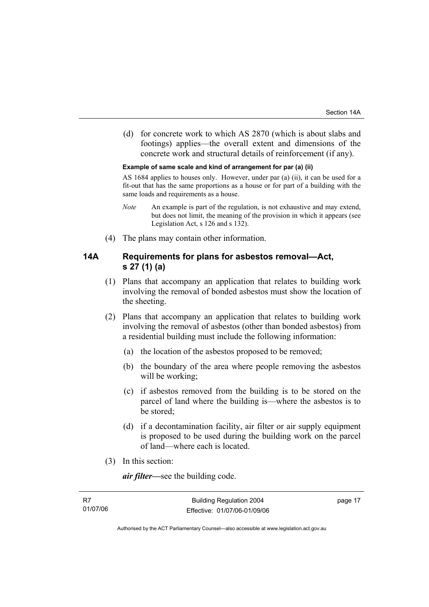(d) for concrete work to which AS 2870 (which is about slabs and footings) applies—the overall extent and dimensions of the concrete work and structural details of reinforcement (if any).

#### **Example of same scale and kind of arrangement for par (a) (ii)**

AS 1684 applies to houses only. However, under par (a) (ii), it can be used for a fit-out that has the same proportions as a house or for part of a building with the same loads and requirements as a house.

- *Note* An example is part of the regulation, is not exhaustive and may extend, but does not limit, the meaning of the provision in which it appears (see Legislation Act, s 126 and s 132).
- (4) The plans may contain other information.

## **14A Requirements for plans for asbestos removal—Act, s 27 (1) (a)**

- (1) Plans that accompany an application that relates to building work involving the removal of bonded asbestos must show the location of the sheeting.
- (2) Plans that accompany an application that relates to building work involving the removal of asbestos (other than bonded asbestos) from a residential building must include the following information:
	- (a) the location of the asbestos proposed to be removed;
	- (b) the boundary of the area where people removing the asbestos will be working;
	- (c) if asbestos removed from the building is to be stored on the parcel of land where the building is—where the asbestos is to be stored;
	- (d) if a decontamination facility, air filter or air supply equipment is proposed to be used during the building work on the parcel of land—where each is located.
- (3) In this section:

*air filter—*see the building code.

| R7       |  |
|----------|--|
| 01/07/06 |  |

page 17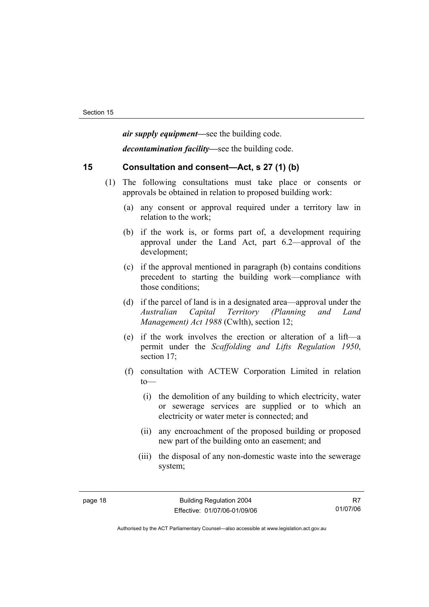*air supply equipment—*see the building code.

*decontamination facility—*see the building code.

## **15 Consultation and consent—Act, s 27 (1) (b)**

- (1) The following consultations must take place or consents or approvals be obtained in relation to proposed building work:
	- (a) any consent or approval required under a territory law in relation to the work;
	- (b) if the work is, or forms part of, a development requiring approval under the Land Act, part 6.2—approval of the development;
	- (c) if the approval mentioned in paragraph (b) contains conditions precedent to starting the building work—compliance with those conditions;
	- (d) if the parcel of land is in a designated area—approval under the *Australian Capital Territory (Planning and Land Management) Act 1988* (Cwlth), section 12;
	- (e) if the work involves the erection or alteration of a lift—a permit under the *Scaffolding and Lifts Regulation 1950*, section 17;
	- (f) consultation with ACTEW Corporation Limited in relation to—
		- (i) the demolition of any building to which electricity, water or sewerage services are supplied or to which an electricity or water meter is connected; and
		- (ii) any encroachment of the proposed building or proposed new part of the building onto an easement; and
		- (iii) the disposal of any non-domestic waste into the sewerage system;

R7 01/07/06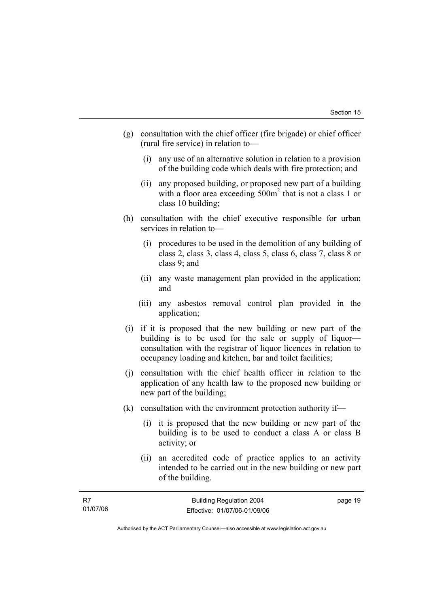- (g) consultation with the chief officer (fire brigade) or chief officer (rural fire service) in relation to—
	- (i) any use of an alternative solution in relation to a provision of the building code which deals with fire protection; and
	- (ii) any proposed building, or proposed new part of a building with a floor area exceeding  $500m^2$  that is not a class 1 or class 10 building;
- (h) consultation with the chief executive responsible for urban services in relation to—
	- (i) procedures to be used in the demolition of any building of class 2, class 3, class 4, class 5, class 6, class 7, class 8 or class 9; and
	- (ii) any waste management plan provided in the application; and
	- (iii) any asbestos removal control plan provided in the application;
- (i) if it is proposed that the new building or new part of the building is to be used for the sale or supply of liquor consultation with the registrar of liquor licences in relation to occupancy loading and kitchen, bar and toilet facilities;
- (j) consultation with the chief health officer in relation to the application of any health law to the proposed new building or new part of the building;
- (k) consultation with the environment protection authority if—
	- (i) it is proposed that the new building or new part of the building is to be used to conduct a class A or class B activity; or
	- (ii) an accredited code of practice applies to an activity intended to be carried out in the new building or new part of the building.

| R7       | <b>Building Regulation 2004</b> | page 19 |
|----------|---------------------------------|---------|
| 01/07/06 | Effective: 01/07/06-01/09/06    |         |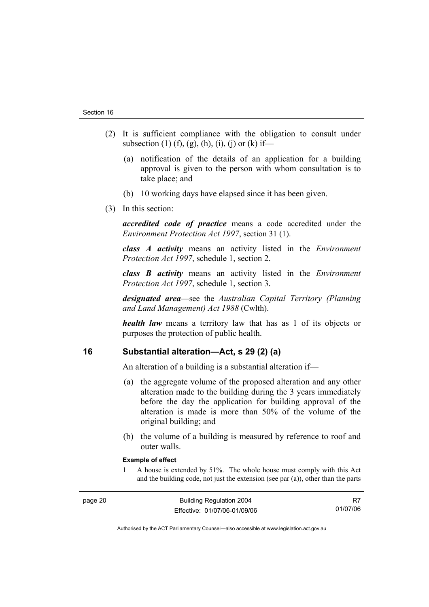- (2) It is sufficient compliance with the obligation to consult under subsection (1) (f), (g), (h), (i), (j) or (k) if—
	- (a) notification of the details of an application for a building approval is given to the person with whom consultation is to take place; and
	- (b) 10 working days have elapsed since it has been given.
- (3) In this section:

*accredited code of practice* means a code accredited under the *Environment Protection Act 1997*, section 31 (1).

*class A activity* means an activity listed in the *Environment Protection Act 1997*, schedule 1, section 2.

*class B activity* means an activity listed in the *Environment Protection Act 1997*, schedule 1, section 3.

*designated area*—see the *Australian Capital Territory (Planning and Land Management) Act 1988* (Cwlth).

*health law* means a territory law that has as 1 of its objects or purposes the protection of public health.

## **16 Substantial alteration—Act, s 29 (2) (a)**

An alteration of a building is a substantial alteration if—

- (a) the aggregate volume of the proposed alteration and any other alteration made to the building during the 3 years immediately before the day the application for building approval of the alteration is made is more than 50% of the volume of the original building; and
- (b) the volume of a building is measured by reference to roof and outer walls.

#### **Example of effect**

1 A house is extended by 51%. The whole house must comply with this Act and the building code, not just the extension (see par (a)), other than the parts

R7 01/07/06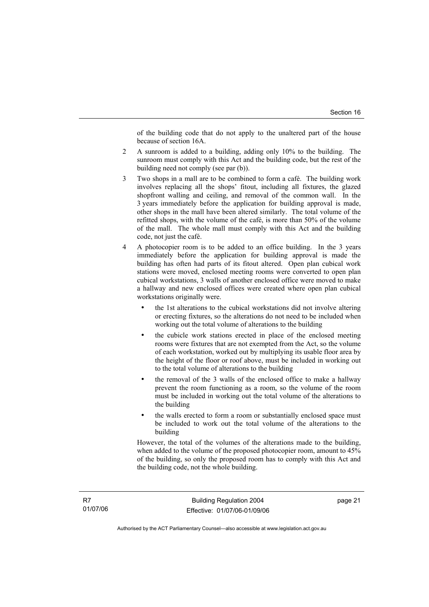of the building code that do not apply to the unaltered part of the house because of section 16A.

- 2 A sunroom is added to a building, adding only 10% to the building. The sunroom must comply with this Act and the building code, but the rest of the building need not comply (see par (b)).
- 3 Two shops in a mall are to be combined to form a café. The building work involves replacing all the shops' fitout, including all fixtures, the glazed shopfront walling and ceiling, and removal of the common wall. In the 3 years immediately before the application for building approval is made, other shops in the mall have been altered similarly. The total volume of the refitted shops, with the volume of the café, is more than 50% of the volume of the mall. The whole mall must comply with this Act and the building code, not just the café.
- 4 A photocopier room is to be added to an office building. In the 3 years immediately before the application for building approval is made the building has often had parts of its fitout altered. Open plan cubical work stations were moved, enclosed meeting rooms were converted to open plan cubical workstations, 3 walls of another enclosed office were moved to make a hallway and new enclosed offices were created where open plan cubical workstations originally were.
	- the 1st alterations to the cubical workstations did not involve altering or erecting fixtures, so the alterations do not need to be included when working out the total volume of alterations to the building
	- the cubicle work stations erected in place of the enclosed meeting rooms were fixtures that are not exempted from the Act, so the volume of each workstation, worked out by multiplying its usable floor area by the height of the floor or roof above, must be included in working out to the total volume of alterations to the building
	- the removal of the 3 walls of the enclosed office to make a hallway prevent the room functioning as a room, so the volume of the room must be included in working out the total volume of the alterations to the building
	- the walls erected to form a room or substantially enclosed space must be included to work out the total volume of the alterations to the building

However, the total of the volumes of the alterations made to the building, when added to the volume of the proposed photocopier room, amount to 45% of the building, so only the proposed room has to comply with this Act and the building code, not the whole building.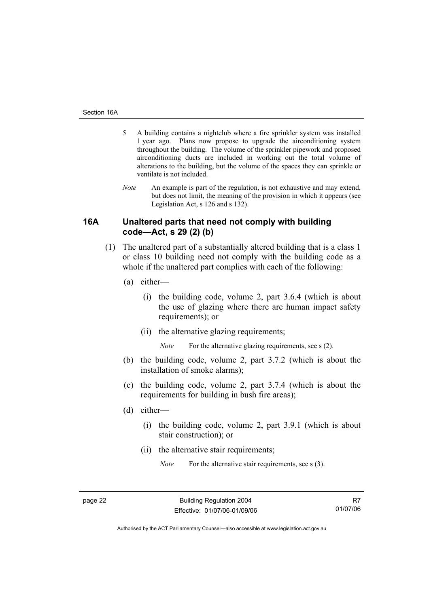- 5 A building contains a nightclub where a fire sprinkler system was installed 1 year ago. Plans now propose to upgrade the airconditioning system throughout the building. The volume of the sprinkler pipework and proposed airconditioning ducts are included in working out the total volume of alterations to the building, but the volume of the spaces they can sprinkle or ventilate is not included.
- *Note* An example is part of the regulation, is not exhaustive and may extend, but does not limit, the meaning of the provision in which it appears (see Legislation Act, s 126 and s 132).

## **16A Unaltered parts that need not comply with building code—Act, s 29 (2) (b)**

- (1) The unaltered part of a substantially altered building that is a class 1 or class 10 building need not comply with the building code as a whole if the unaltered part complies with each of the following:
	- (a) either—
		- (i) the building code, volume 2, part 3.6.4 (which is about the use of glazing where there are human impact safety requirements); or
		- (ii) the alternative glazing requirements;

*Note* For the alternative glazing requirements, see s (2).

- (b) the building code, volume 2, part 3.7.2 (which is about the installation of smoke alarms);
- (c) the building code, volume 2, part 3.7.4 (which is about the requirements for building in bush fire areas);
- (d) either—
	- (i) the building code, volume 2, part 3.9.1 (which is about stair construction); or
	- (ii) the alternative stair requirements;

*Note* For the alternative stair requirements, see s (3).

R7 01/07/06

Authorised by the ACT Parliamentary Counsel—also accessible at www.legislation.act.gov.au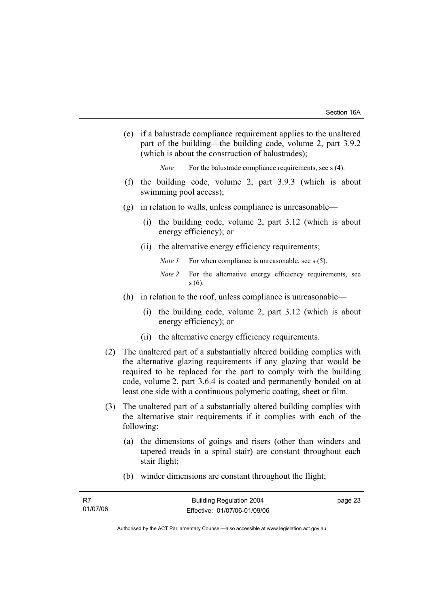(e) if a balustrade compliance requirement applies to the unaltered part of the building—the building code, volume 2, part 3.9.2 (which is about the construction of balustrades);

*Note* For the balustrade compliance requirements, see s (4).

- (f) the building code, volume 2, part 3.9.3 (which is about swimming pool access);
- (g) in relation to walls, unless compliance is unreasonable—
	- (i) the building code, volume 2, part 3.12 (which is about energy efficiency); or
	- (ii) the alternative energy efficiency requirements;
		- *Note 1* For when compliance is unreasonable, see s (5).
		- *Note 2* For the alternative energy efficiency requirements, see s (6).
- (h) in relation to the roof, unless compliance is unreasonable—
	- (i) the building code, volume 2, part 3.12 (which is about energy efficiency); or
	- (ii) the alternative energy efficiency requirements.
- (2) The unaltered part of a substantially altered building complies with the alternative glazing requirements if any glazing that would be required to be replaced for the part to comply with the building code, volume 2, part 3.6.4 is coated and permanently bonded on at least one side with a continuous polymeric coating, sheet or film.
- (3) The unaltered part of a substantially altered building complies with the alternative stair requirements if it complies with each of the following:
	- (a) the dimensions of goings and risers (other than winders and tapered treads in a spiral stair) are constant throughout each stair flight;
	- (b) winder dimensions are constant throughout the flight;

| - R7     | <b>Building Regulation 2004</b> | page 23 |
|----------|---------------------------------|---------|
| 01/07/06 | Effective: 01/07/06-01/09/06    |         |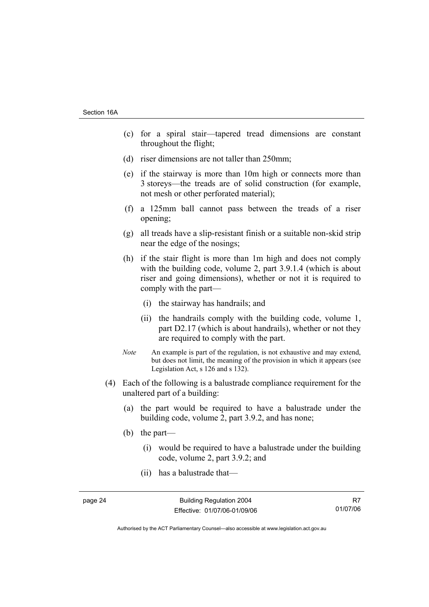- (c) for a spiral stair—tapered tread dimensions are constant throughout the flight;
- (d) riser dimensions are not taller than 250mm;
- (e) if the stairway is more than 10m high or connects more than 3 storeys—the treads are of solid construction (for example, not mesh or other perforated material);
- (f) a 125mm ball cannot pass between the treads of a riser opening;
- (g) all treads have a slip-resistant finish or a suitable non-skid strip near the edge of the nosings;
- (h) if the stair flight is more than 1m high and does not comply with the building code, volume 2, part 3.9.1.4 (which is about riser and going dimensions), whether or not it is required to comply with the part—
	- (i) the stairway has handrails; and
	- (ii) the handrails comply with the building code, volume 1, part D2.17 (which is about handrails), whether or not they are required to comply with the part.
- *Note* An example is part of the regulation, is not exhaustive and may extend, but does not limit, the meaning of the provision in which it appears (see Legislation Act, s 126 and s 132).
- (4) Each of the following is a balustrade compliance requirement for the unaltered part of a building:
	- (a) the part would be required to have a balustrade under the building code, volume 2, part 3.9.2, and has none;
	- (b) the part—
		- (i) would be required to have a balustrade under the building code, volume 2, part 3.9.2; and
		- (ii) has a balustrade that—

R7 01/07/06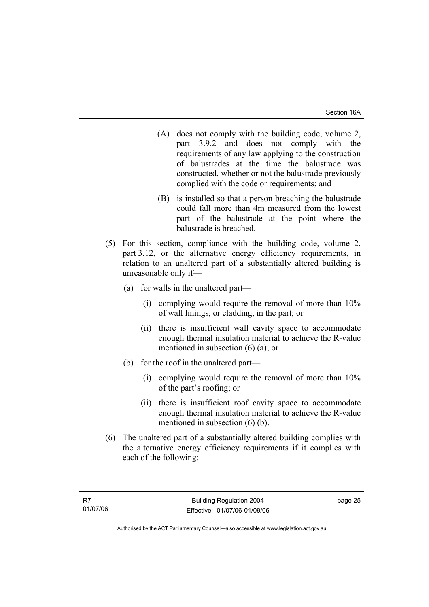- (A) does not comply with the building code, volume 2, part 3.9.2 and does not comply with the requirements of any law applying to the construction of balustrades at the time the balustrade was constructed, whether or not the balustrade previously complied with the code or requirements; and
- (B) is installed so that a person breaching the balustrade could fall more than 4m measured from the lowest part of the balustrade at the point where the balustrade is breached.
- (5) For this section, compliance with the building code, volume 2, part 3.12, or the alternative energy efficiency requirements, in relation to an unaltered part of a substantially altered building is unreasonable only if—
	- (a) for walls in the unaltered part—
		- (i) complying would require the removal of more than 10% of wall linings, or cladding, in the part; or
		- (ii) there is insufficient wall cavity space to accommodate enough thermal insulation material to achieve the R-value mentioned in subsection (6) (a); or
	- (b) for the roof in the unaltered part—
		- (i) complying would require the removal of more than 10% of the part's roofing; or
		- (ii) there is insufficient roof cavity space to accommodate enough thermal insulation material to achieve the R-value mentioned in subsection (6) (b).
- (6) The unaltered part of a substantially altered building complies with the alternative energy efficiency requirements if it complies with each of the following: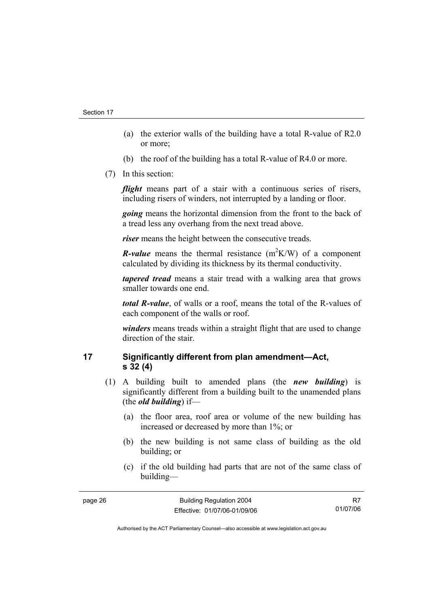- (a) the exterior walls of the building have a total R-value of R2.0 or more;
- (b) the roof of the building has a total R-value of R4.0 or more.
- (7) In this section:

*flight* means part of a stair with a continuous series of risers, including risers of winders, not interrupted by a landing or floor.

*going* means the horizontal dimension from the front to the back of a tread less any overhang from the next tread above.

*riser* means the height between the consecutive treads.

*R*-value means the thermal resistance  $(m^2K/W)$  of a component calculated by dividing its thickness by its thermal conductivity.

*tapered tread* means a stair tread with a walking area that grows smaller towards one end.

*total R-value*, of walls or a roof, means the total of the R-values of each component of the walls or roof.

*winders* means treads within a straight flight that are used to change direction of the stair.

## **17 Significantly different from plan amendment—Act, s 32 (4)**

- (1) A building built to amended plans (the *new building*) is significantly different from a building built to the unamended plans (the *old building*) if—
	- (a) the floor area, roof area or volume of the new building has increased or decreased by more than 1%; or
	- (b) the new building is not same class of building as the old building; or
	- (c) if the old building had parts that are not of the same class of building—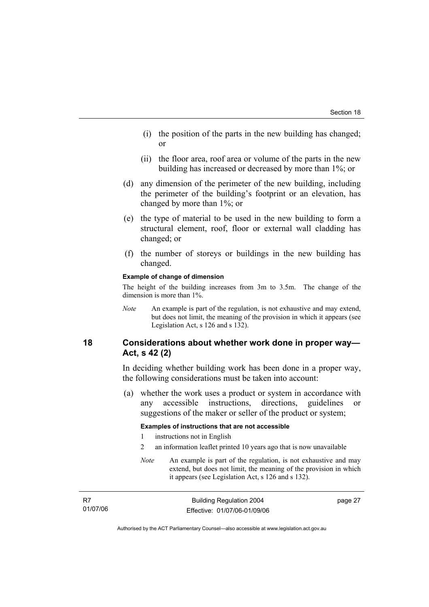- (i) the position of the parts in the new building has changed; or
- (ii) the floor area, roof area or volume of the parts in the new building has increased or decreased by more than 1%; or
- (d) any dimension of the perimeter of the new building, including the perimeter of the building's footprint or an elevation, has changed by more than 1%; or
- (e) the type of material to be used in the new building to form a structural element, roof, floor or external wall cladding has changed; or
- (f) the number of storeys or buildings in the new building has changed.

#### **Example of change of dimension**

The height of the building increases from 3m to 3.5m. The change of the dimension is more than 1%.

*Note* An example is part of the regulation, is not exhaustive and may extend, but does not limit, the meaning of the provision in which it appears (see Legislation Act, s 126 and s 132).

## **18 Considerations about whether work done in proper way— Act, s 42 (2)**

In deciding whether building work has been done in a proper way, the following considerations must be taken into account:

 (a) whether the work uses a product or system in accordance with any accessible instructions, directions, guidelines or suggestions of the maker or seller of the product or system;

#### **Examples of instructions that are not accessible**

- 1 instructions not in English
- 2 an information leaflet printed 10 years ago that is now unavailable
- *Note* An example is part of the regulation, is not exhaustive and may extend, but does not limit, the meaning of the provision in which it appears (see Legislation Act, s 126 and s 132).

| R7       | <b>Building Regulation 2004</b> | page 27 |
|----------|---------------------------------|---------|
| 01/07/06 | Effective: 01/07/06-01/09/06    |         |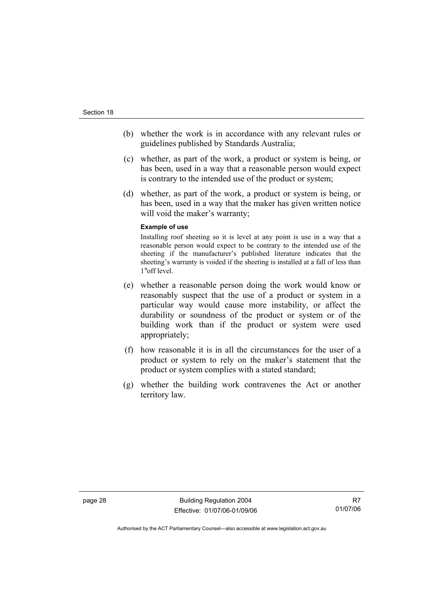- (b) whether the work is in accordance with any relevant rules or guidelines published by Standards Australia;
- (c) whether, as part of the work, a product or system is being, or has been, used in a way that a reasonable person would expect is contrary to the intended use of the product or system;
- (d) whether, as part of the work, a product or system is being, or has been, used in a way that the maker has given written notice will void the maker's warranty;

#### **Example of use**

Installing roof sheeting so it is level at any point is use in a way that a reasonable person would expect to be contrary to the intended use of the sheeting if the manufacturer's published literature indicates that the sheeting's warranty is voided if the sheeting is installed at a fall of less than 1°off level.

- (e) whether a reasonable person doing the work would know or reasonably suspect that the use of a product or system in a particular way would cause more instability, or affect the durability or soundness of the product or system or of the building work than if the product or system were used appropriately;
- (f) how reasonable it is in all the circumstances for the user of a product or system to rely on the maker's statement that the product or system complies with a stated standard;
- (g) whether the building work contravenes the Act or another territory law.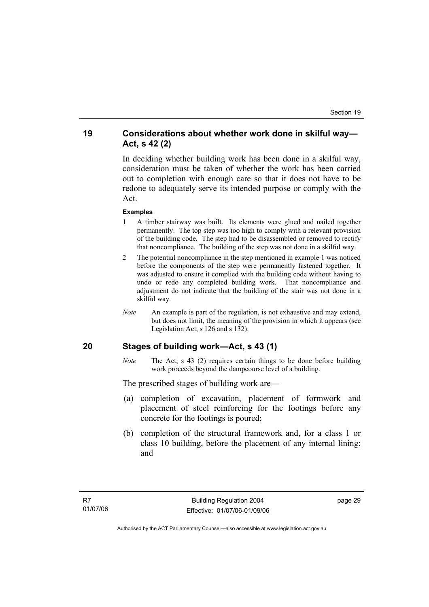## **19 Considerations about whether work done in skilful way— Act, s 42 (2)**

In deciding whether building work has been done in a skilful way, consideration must be taken of whether the work has been carried out to completion with enough care so that it does not have to be redone to adequately serve its intended purpose or comply with the Act.

#### **Examples**

- 1 A timber stairway was built. Its elements were glued and nailed together permanently. The top step was too high to comply with a relevant provision of the building code. The step had to be disassembled or removed to rectify that noncompliance. The building of the step was not done in a skilful way.
- 2 The potential noncompliance in the step mentioned in example 1 was noticed before the components of the step were permanently fastened together. It was adjusted to ensure it complied with the building code without having to undo or redo any completed building work. That noncompliance and adjustment do not indicate that the building of the stair was not done in a skilful way.
- *Note* An example is part of the regulation, is not exhaustive and may extend, but does not limit, the meaning of the provision in which it appears (see Legislation Act, s 126 and s 132).

## **20 Stages of building work—Act, s 43 (1)**

*Note* The Act, s 43 (2) requires certain things to be done before building work proceeds beyond the dampcourse level of a building.

The prescribed stages of building work are—

- (a) completion of excavation, placement of formwork and placement of steel reinforcing for the footings before any concrete for the footings is poured;
- (b) completion of the structural framework and, for a class 1 or class 10 building, before the placement of any internal lining; and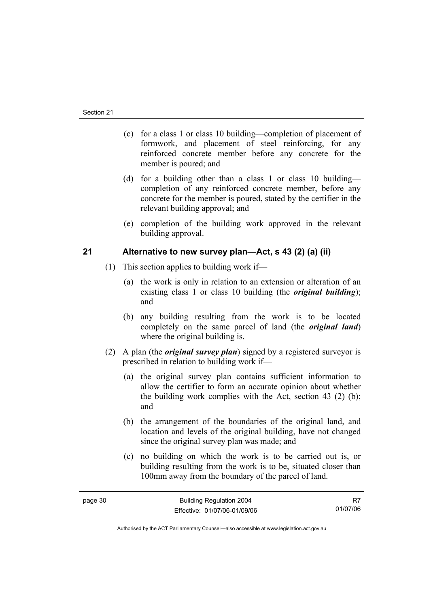- (c) for a class 1 or class 10 building—completion of placement of formwork, and placement of steel reinforcing, for any reinforced concrete member before any concrete for the member is poured; and
- (d) for a building other than a class 1 or class 10 building completion of any reinforced concrete member, before any concrete for the member is poured, stated by the certifier in the relevant building approval; and
- (e) completion of the building work approved in the relevant building approval.

## **21 Alternative to new survey plan—Act, s 43 (2) (a) (ii)**

- (1) This section applies to building work if—
	- (a) the work is only in relation to an extension or alteration of an existing class 1 or class 10 building (the *original building*); and
	- (b) any building resulting from the work is to be located completely on the same parcel of land (the *original land*) where the original building is.
- (2) A plan (the *original survey plan*) signed by a registered surveyor is prescribed in relation to building work if—
	- (a) the original survey plan contains sufficient information to allow the certifier to form an accurate opinion about whether the building work complies with the Act, section 43 (2) (b); and
	- (b) the arrangement of the boundaries of the original land, and location and levels of the original building, have not changed since the original survey plan was made; and
	- (c) no building on which the work is to be carried out is, or building resulting from the work is to be, situated closer than 100mm away from the boundary of the parcel of land.

R7 01/07/06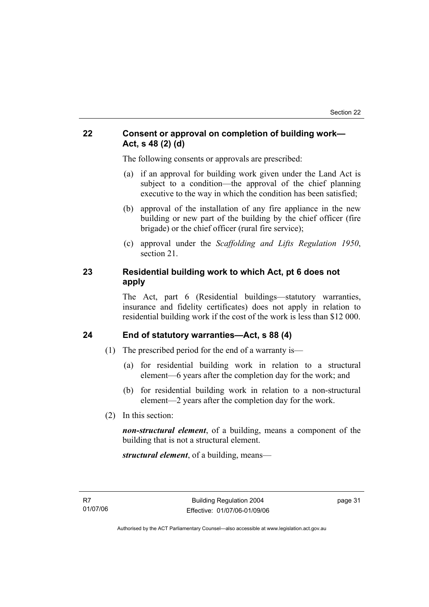## **22 Consent or approval on completion of building work— Act, s 48 (2) (d)**

The following consents or approvals are prescribed:

- (a) if an approval for building work given under the Land Act is subject to a condition—the approval of the chief planning executive to the way in which the condition has been satisfied;
- (b) approval of the installation of any fire appliance in the new building or new part of the building by the chief officer (fire brigade) or the chief officer (rural fire service);
- (c) approval under the *Scaffolding and Lifts Regulation 1950*, section 21.

## **23 Residential building work to which Act, pt 6 does not apply**

The Act, part 6 (Residential buildings—statutory warranties, insurance and fidelity certificates) does not apply in relation to residential building work if the cost of the work is less than \$12 000.

## **24 End of statutory warranties—Act, s 88 (4)**

- (1) The prescribed period for the end of a warranty is—
	- (a) for residential building work in relation to a structural element—6 years after the completion day for the work; and
	- (b) for residential building work in relation to a non-structural element—2 years after the completion day for the work.
- (2) In this section:

*non-structural element*, of a building, means a component of the building that is not a structural element.

*structural element*, of a building, means—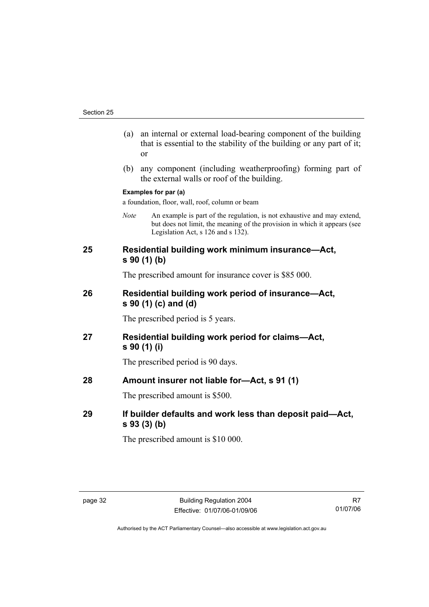- (a) an internal or external load-bearing component of the building that is essential to the stability of the building or any part of it; or
- (b) any component (including weatherproofing) forming part of the external walls or roof of the building.

#### **Examples for par (a)**

a foundation, floor, wall, roof, column or beam

*Note* An example is part of the regulation, is not exhaustive and may extend, but does not limit, the meaning of the provision in which it appears (see Legislation Act, s 126 and s 132).

## **25 Residential building work minimum insurance—Act, s 90 (1) (b)**

The prescribed amount for insurance cover is \$85 000.

## **26 Residential building work period of insurance—Act, s 90 (1) (c) and (d)**

The prescribed period is 5 years.

**27 Residential building work period for claims—Act, s 90 (1) (i)** 

The prescribed period is 90 days.

**28 Amount insurer not liable for—Act, s 91 (1)** 

The prescribed amount is \$500.

**29 If builder defaults and work less than deposit paid—Act, s 93 (3) (b)** 

The prescribed amount is \$10 000.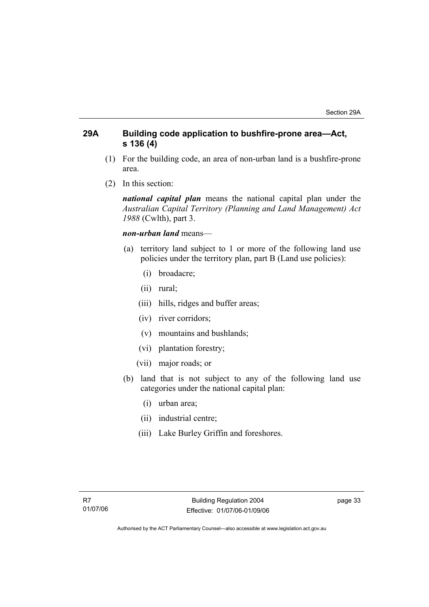## **29A Building code application to bushfire-prone area—Act, s 136 (4)**

- (1) For the building code, an area of non-urban land is a bushfire-prone area.
- (2) In this section:

*national capital plan* means the national capital plan under the *Australian Capital Territory (Planning and Land Management) Act 1988* (Cwlth), part 3.

## *non-urban land* means—

- (a) territory land subject to 1 or more of the following land use policies under the territory plan, part B (Land use policies):
	- (i) broadacre;
	- (ii) rural;
	- (iii) hills, ridges and buffer areas;
	- (iv) river corridors;
	- (v) mountains and bushlands;
	- (vi) plantation forestry;
	- (vii) major roads; or
- (b) land that is not subject to any of the following land use categories under the national capital plan:
	- (i) urban area;
	- (ii) industrial centre;
	- (iii) Lake Burley Griffin and foreshores.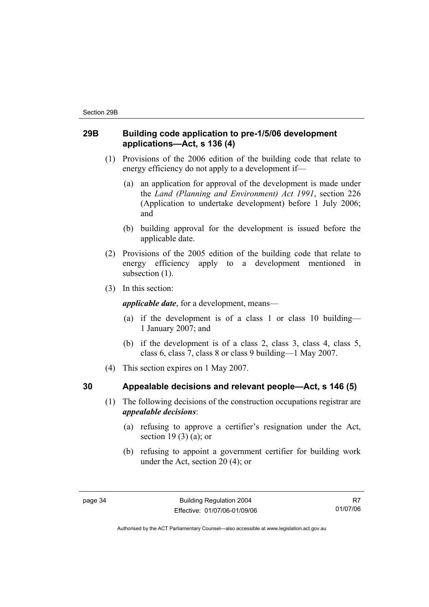## **29B Building code application to pre-1/5/06 development applications—Act, s 136 (4)**

- (1) Provisions of the 2006 edition of the building code that relate to energy efficiency do not apply to a development if—
	- (a) an application for approval of the development is made under the *Land (Planning and Environment) Act 1991*, section 226 (Application to undertake development) before 1 July 2006; and
	- (b) building approval for the development is issued before the applicable date.
- (2) Provisions of the 2005 edition of the building code that relate to energy efficiency apply to a development mentioned in subsection  $(1)$ .
- (3) In this section:

*applicable date*, for a development, means—

- (a) if the development is of a class 1 or class 10 building— 1 January 2007; and
- (b) if the development is of a class 2, class 3, class 4, class 5, class 6, class 7, class 8 or class 9 building—1 May 2007.
- (4) This section expires on 1 May 2007.

## **30 Appealable decisions and relevant people—Act, s 146 (5)**

- (1) The following decisions of the construction occupations registrar are *appealable decisions*:
	- (a) refusing to approve a certifier's resignation under the Act, section 19 $(3)$  $(a)$ ; or
	- (b) refusing to appoint a government certifier for building work under the Act, section 20 (4); or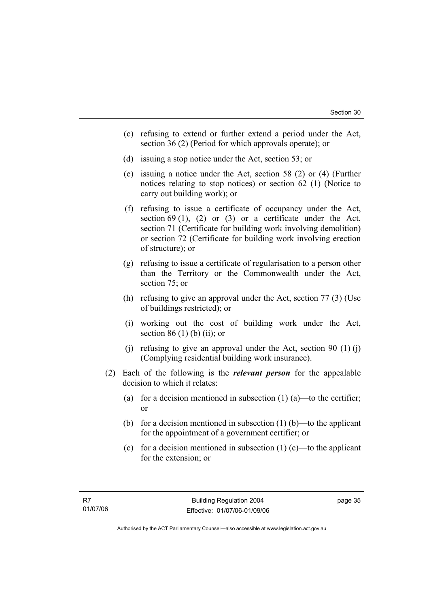- (c) refusing to extend or further extend a period under the Act, section 36 (2) (Period for which approvals operate); or
- (d) issuing a stop notice under the Act, section 53; or
- (e) issuing a notice under the Act, section 58 (2) or (4) (Further notices relating to stop notices) or section 62 (1) (Notice to carry out building work); or
- (f) refusing to issue a certificate of occupancy under the Act, section 69 (1), (2) or (3) or a certificate under the Act, section 71 (Certificate for building work involving demolition) or section 72 (Certificate for building work involving erection of structure); or
- (g) refusing to issue a certificate of regularisation to a person other than the Territory or the Commonwealth under the Act, section 75; or
- (h) refusing to give an approval under the Act, section 77 (3) (Use of buildings restricted); or
- (i) working out the cost of building work under the Act, section 86 $(1)$  $(b)$  $(ii)$ ; or
- (i) refusing to give an approval under the Act, section 90  $(1)$  (j) (Complying residential building work insurance).
- (2) Each of the following is the *relevant person* for the appealable decision to which it relates:
	- (a) for a decision mentioned in subsection  $(1)$  (a)—to the certifier; or
	- (b) for a decision mentioned in subsection  $(1)$  (b)—to the applicant for the appointment of a government certifier; or
	- (c) for a decision mentioned in subsection  $(1)$  (c)—to the applicant for the extension; or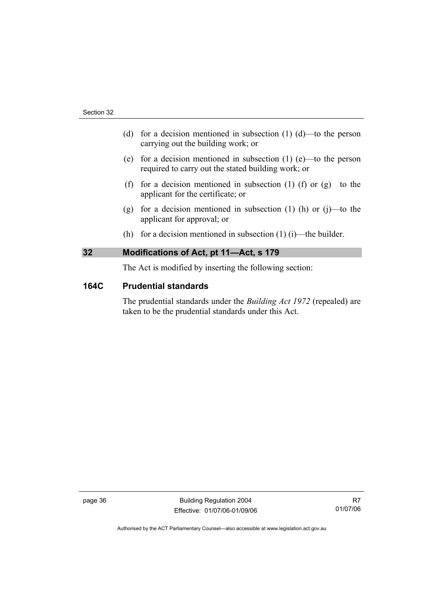- (d) for a decision mentioned in subsection  $(1)$   $(d)$ —to the person carrying out the building work; or
- (e) for a decision mentioned in subsection (1) (e)—to the person required to carry out the stated building work; or
- (f) for a decision mentioned in subsection (1) (f) or  $(g)$ —to the applicant for the certificate; or
- (g) for a decision mentioned in subsection (1) (h) or (j)—to the applicant for approval; or
- (h) for a decision mentioned in subsection  $(1)$  (i)—the builder.

## **32 Modifications of Act, pt 11—Act, s 179**

The Act is modified by inserting the following section:

## **164C Prudential standards**

The prudential standards under the *Building Act 1972* (repealed) are taken to be the prudential standards under this Act.

page 36 Building Regulation 2004 Effective: 01/07/06-01/09/06

R7 01/07/06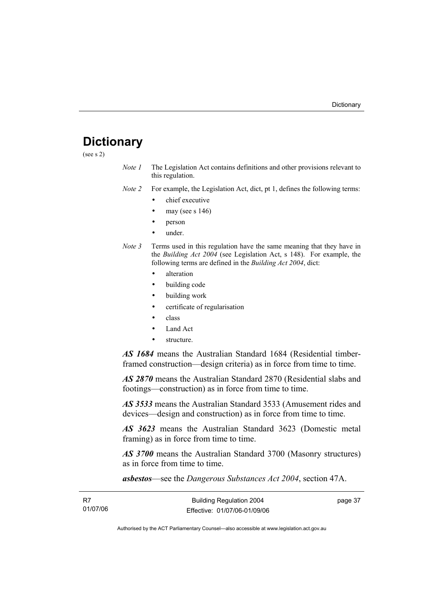# **Dictionary**

(see s 2)

*Note 1* The Legislation Act contains definitions and other provisions relevant to this regulation.

*Note 2* For example, the Legislation Act, dict, pt 1, defines the following terms:

- chief executive
- may (see s  $146$ )
- person
- under.
- *Note 3* Terms used in this regulation have the same meaning that they have in the *Building Act 2004* (see Legislation Act, s 148). For example, the following terms are defined in the *Building Act 2004*, dict:
	- alteration
	- building code
	- building work
	- certificate of regularisation
	- class
	- Land Act
	- structure.

*AS 1684* means the Australian Standard 1684 (Residential timberframed construction—design criteria) as in force from time to time.

*AS 2870* means the Australian Standard 2870 (Residential slabs and footings—construction) as in force from time to time.

*AS 3533* means the Australian Standard 3533 (Amusement rides and devices—design and construction) as in force from time to time.

*AS 3623* means the Australian Standard 3623 (Domestic metal framing) as in force from time to time.

*AS 3700* means the Australian Standard 3700 (Masonry structures) as in force from time to time.

*asbestos*—see the *Dangerous Substances Act 2004*, section 47A.

| - R7     | <b>Building Regulation 2004</b> | page 37 |
|----------|---------------------------------|---------|
| 01/07/06 | Effective: 01/07/06-01/09/06    |         |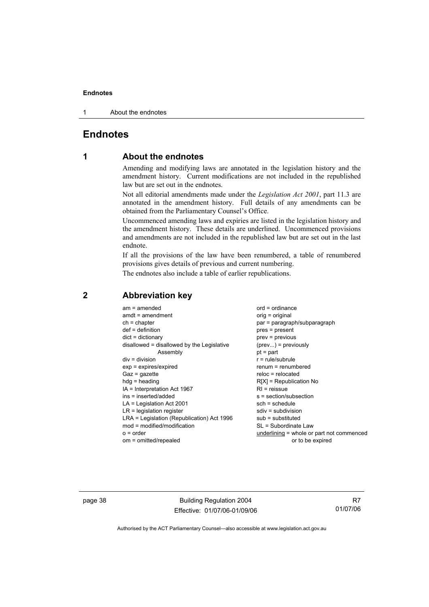1 About the endnotes

## **Endnotes**

## **1 About the endnotes**

Amending and modifying laws are annotated in the legislation history and the amendment history. Current modifications are not included in the republished law but are set out in the endnotes.

Not all editorial amendments made under the *Legislation Act 2001*, part 11.3 are annotated in the amendment history. Full details of any amendments can be obtained from the Parliamentary Counsel's Office.

Uncommenced amending laws and expiries are listed in the legislation history and the amendment history. These details are underlined. Uncommenced provisions and amendments are not included in the republished law but are set out in the last endnote.

If all the provisions of the law have been renumbered, a table of renumbered provisions gives details of previous and current numbering.

The endnotes also include a table of earlier republications.

| $am = amended$<br>$amdt = amendment$<br>$ch = chapter$<br>$def = definition$<br>$dict = dictionary$<br>disallowed = disallowed by the Legislative<br>Assembly<br>$div = division$<br>$exp = expires/expired$<br>$Gaz = gazette$<br>$hdg =$ heading<br>$IA = Interpretation Act 1967$<br>ins = inserted/added<br>$LA =$ Legislation Act 2001<br>$LR =$ legislation register<br>LRA = Legislation (Republication) Act 1996<br>$mod = modified/modification$<br>$o = order$ | $ord = ordinance$<br>$orig = original$<br>par = paragraph/subparagraph<br>$pres = present$<br>$prev = previous$<br>$(\text{prev}) = \text{previously}$<br>$pt = part$<br>$r = rule/subrule$<br>$remum = renumbered$<br>$reloc = relocated$<br>$R[X]$ = Republication No<br>$RI =$ reissue<br>$s = section/subsection$<br>$sch = schedule$<br>$sdiv = subdivision$<br>$sub =$ substituted<br>SL = Subordinate Law<br>underlining = whole or part not commenced |
|--------------------------------------------------------------------------------------------------------------------------------------------------------------------------------------------------------------------------------------------------------------------------------------------------------------------------------------------------------------------------------------------------------------------------------------------------------------------------|---------------------------------------------------------------------------------------------------------------------------------------------------------------------------------------------------------------------------------------------------------------------------------------------------------------------------------------------------------------------------------------------------------------------------------------------------------------|
| om = omitted/repealed                                                                                                                                                                                                                                                                                                                                                                                                                                                    | or to be expired                                                                                                                                                                                                                                                                                                                                                                                                                                              |
|                                                                                                                                                                                                                                                                                                                                                                                                                                                                          |                                                                                                                                                                                                                                                                                                                                                                                                                                                               |

## **2 Abbreviation key**

page 38 Building Regulation 2004 Effective: 01/07/06-01/09/06

R7 01/07/06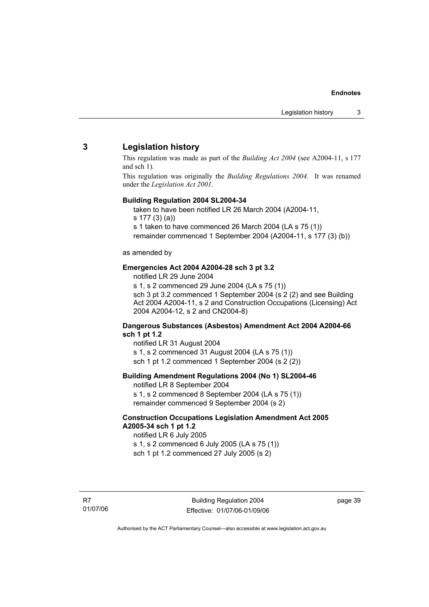## **3 Legislation history**

This regulation was made as part of the *Building Act 2004* (see A2004-11, s 177 and sch 1).

This regulation was originally the *Building Regulations 2004*. It was renamed under the *Legislation Act 2001*.

#### **Building Regulation 2004 SL2004-34**

taken to have been notified LR 26 March 2004 (A2004-11,

s 177 (3) (a))

s 1 taken to have commenced 26 March 2004 (LA s 75 (1))

remainder commenced 1 September 2004 (A2004-11, s 177 (3) (b))

#### as amended by

#### **Emergencies Act 2004 A2004-28 sch 3 pt 3.2**

notified LR 29 June 2004

s 1, s 2 commenced 29 June 2004 (LA s 75 (1)) sch 3 pt 3.2 commenced 1 September 2004 (s 2 (2) and see Building Act 2004 A2004-11, s 2 and Construction Occupations (Licensing) Act 2004 A2004-12, s 2 and CN2004-8)

#### **Dangerous Substances (Asbestos) Amendment Act 2004 A2004-66 sch 1 pt 1.2**

notified LR 31 August 2004 s 1, s 2 commenced 31 August 2004 (LA s 75 (1)) sch 1 pt 1.2 commenced 1 September 2004 (s 2 (2))

#### **Building Amendment Regulations 2004 (No 1) SL2004-46**

notified LR 8 September 2004 s 1, s 2 commenced 8 September 2004 (LA s 75 (1)) remainder commenced 9 September 2004 (s 2)

#### **Construction Occupations Legislation Amendment Act 2005 A2005-34 sch 1 pt 1.2**

notified LR 6 July 2005 s 1, s 2 commenced 6 July 2005 (LA s 75 (1)) sch 1 pt 1.2 commenced 27 July 2005 (s 2)

R7 01/07/06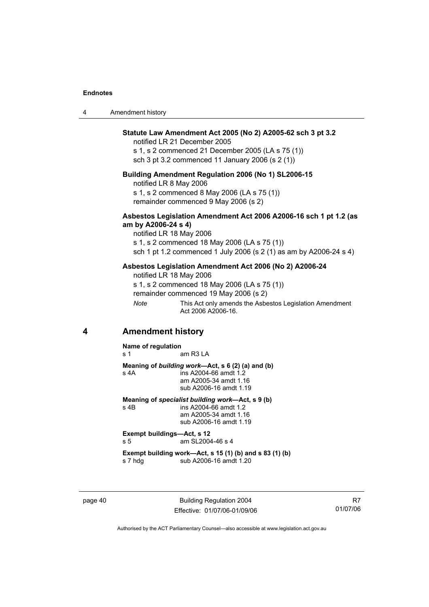| 4 | Amendment history |
|---|-------------------|
|---|-------------------|

#### **Statute Law Amendment Act 2005 (No 2) A2005-62 sch 3 pt 3.2**

notified LR 21 December 2005

s 1, s 2 commenced 21 December 2005 (LA s 75 (1)) sch 3 pt 3.2 commenced 11 January 2006 (s 2 (1))

#### **Building Amendment Regulation 2006 (No 1) SL2006-15**

notified LR 8 May 2006 s 1, s 2 commenced 8 May 2006 (LA s 75 (1))

remainder commenced 9 May 2006 (s 2)

#### **Asbestos Legislation Amendment Act 2006 A2006-16 sch 1 pt 1.2 (as am by A2006-24 s 4)**

notified LR 18 May 2006 s 1, s 2 commenced 18 May 2006 (LA s 75 (1)) sch 1 pt 1.2 commenced 1 July 2006 (s 2 (1) as am by A2006-24 s 4)

#### **Asbestos Legislation Amendment Act 2006 (No 2) A2006-24**

notified LR 18 May 2006 s 1, s 2 commenced 18 May 2006 (LA s 75 (1))

remainder commenced 19 May 2006 (s 2)

*Note* This Act only amends the Asbestos Legislation Amendment Act 2006 A2006-16.

## **4 Amendment history**

**Name of regulation** 

s 1 am R3 LA

**Meaning of** *building work***—Act, s 6 (2) (a) and (b)**  s 4A ins A2004-66 amdt 1.2

 am A2005-34 amdt 1.16 sub A2006-16 amdt 1.19

**Meaning of** *specialist building work***—Act, s 9 (b)**  $s$  4B  $s$  **ins A2004-66** amdt 1.2

ins A2004-66 amdt 1.2 am A2005-34 amdt 1.16 sub A2006-16 amdt 1.19

**Exempt buildings—Act, s 12**  s 5 am SL2004-46 s 4

**Exempt building work—Act, s 15 (1) (b) and s 83 (1) (b)**  s 7 hdg sub A2006-16 amdt 1.20

page 40 Building Regulation 2004 Effective: 01/07/06-01/09/06

R7 01/07/06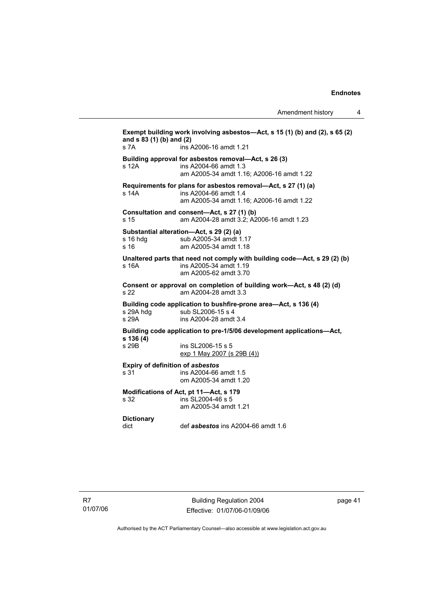Amendment history 4

**Exempt building work involving asbestos—Act, s 15 (1) (b) and (2), s 65 (2) and s 83 (1) (b) and (2)**  s 7A ins A2006-16 amdt 1.21 **Building approval for asbestos removal—Act, s 26 (3)**  s 12A ins A2004-66 amdt 1.3 am A2005-34 amdt 1.16; A2006-16 amdt 1.22 **Requirements for plans for asbestos removal—Act, s 27 (1) (a)**  s 14A ins A2004-66 amdt 1.4 am A2005-34 amdt 1.16; A2006-16 amdt 1.22 **Consultation and consent—Act, s 27 (1) (b)**  s 15 am A2004-28 amdt 3.2; A2006-16 amdt 1.23 **Substantial alteration—Act, s 29 (2) (a)**  s 16 hdg sub A2005-34 amdt 1.17 s 16 am A2005-34 amdt 1.18 **Unaltered parts that need not comply with building code—Act, s 29 (2) (b)**  s 16A ins A2005-34 amdt 1.19 am A2005-62 amdt 3.70 **Consent or approval on completion of building work—Act, s 48 (2) (d)**  s 22 am A2004-28 amdt 3.3 **Building code application to bushfire-prone area—Act, s 136 (4)**  sub SL2006-15 s 4 s 29A ins A2004-28 amdt 3.4 **Building code application to pre-1/5/06 development applications—Act, s 136 (4)**  s 29B ins SL2006-15 s 5 exp 1 May 2007 (s 29B (4)) **Expiry of definition of** *asbestos* s 31 ins A2004-66 amdt 1.5 om A2005-34 amdt 1.20 **Modifications of Act, pt 11—Act, s 179**   $ins$  SL2004-46 s 5 am A2005-34 amdt 1.21 **Dictionary**  dict def *asbestos* ins A2004-66 amdt 1.6

page 41